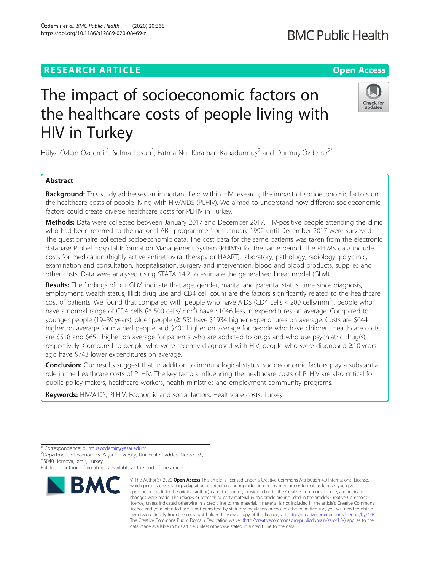# **RESEARCH ARTICLE Example 2014 12:30 The Contract of Contract ACCESS**

# The impact of socioeconomic factors on the healthcare costs of people living with HIV in Turkey

Hülya Özkan Özdemir<sup>1</sup>, Selma Tosun<sup>1</sup>, Fatma Nur Karaman Kabadurmuş<sup>2</sup> and Durmuş Özdemir<sup>2\*</sup>

# Abstract

Background: This study addresses an important field within HIV research, the impact of socioeconomic factors on the healthcare costs of people living with HIV/AIDS (PLHIV). We aimed to understand how different socioeconomic factors could create diverse healthcare costs for PLHIV in Turkey.

Methods: Data were collected between January 2017 and December 2017. HIV-positive people attending the clinic who had been referred to the national ART programme from January 1992 until December 2017 were surveyed. The questionnaire collected socioeconomic data. The cost data for the same patients was taken from the electronic database Probel Hospital Information Management System (PHIMS) for the same period. The PHIMS data include costs for medication (highly active antiretroviral therapy or HAART), laboratory, pathology, radiology, polyclinic, examination and consultation, hospitalisation, surgery and intervention, blood and blood products, supplies and other costs. Data were analysed using STATA 14.2 to estimate the generalised linear model (GLM).

Results: The findings of our GLM indicate that age, gender, marital and parental status, time since diagnosis, employment, wealth status, illicit drug use and CD4 cell count are the factors significantly related to the healthcare cost of patients. We found that compared with people who have AIDS (CD4 cells < 200 cells/mm<sup>3</sup>), people who have a normal range of CD4 cells ( $\geq$  500 cells/mm<sup>3</sup>) have \$1046 less in expenditures on average. Compared to younger people (19–39 years), older people (≥ 55) have \$1934 higher expenditures on average. Costs are \$644 higher on average for married people and \$401 higher on average for people who have children. Healthcare costs are \$518 and \$651 higher on average for patients who are addicted to drugs and who use psychiatric drug(s), respectively. Compared to people who were recently diagnosed with HIV, people who were diagnosed ≥10 years ago have \$743 lower expenditures on average.

**Conclusion:** Our results suggest that in addition to immunological status, socioeconomic factors play a substantial role in the healthcare costs of PLHIV. The key factors influencing the healthcare costs of PLHIV are also critical for public policy makers, healthcare workers, health ministries and employment community programs.

Keywords: HIV/AIDS, PLHIV, Economic and social factors, Healthcare costs, Turkey

**BMC** 



© The Author(s), 2020 **Open Access** This article is licensed under a Creative Commons Attribution 4.0 International License, which permits use, sharing, adaptation, distribution and reproduction in any medium or format, as long as you give





<sup>\*</sup> Correspondence: [durmus.ozdemir@yasar.edu.tr](mailto:durmus.ozdemir@yasar.edu.tr) <sup>2</sup>

Department of Economics, Yaşar University, Üniversite Caddesi No: 37–39, 35040 Bornova, İzmir, Turkey

Full list of author information is available at the end of the article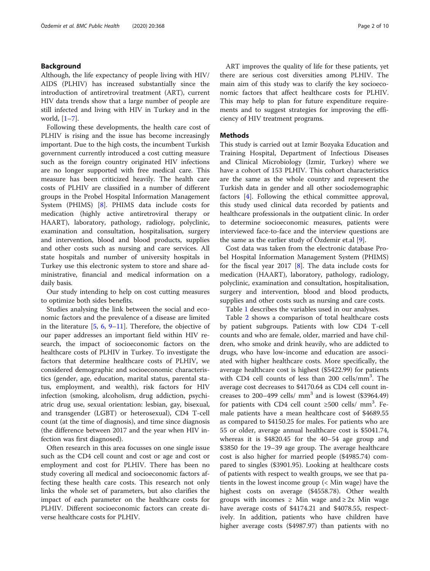## Background

Although, the life expectancy of people living with HIV/ AIDS (PLHIV) has increased substantially since the introduction of antiretroviral treatment (ART), current HIV data trends show that a large number of people are still infected and living with HIV in Turkey and in the world, [\[1](#page-8-0)–[7](#page-8-0)].

Following these developments, the health care cost of PLHIV is rising and the issue has become increasingly important. Due to the high costs, the incumbent Turkish government currently introduced a cost cutting measure such as the foreign country originated HIV infections are no longer supported with free medical care. This measure has been criticized heavily. The health care costs of PLHIV are classified in a number of different groups in the Probel Hospital Information Management System (PHIMS) [[8](#page-8-0)]. PHIMS data include costs for medication (highly active antiretroviral therapy or HAART), laboratory, pathology, radiology, polyclinic, examination and consultation, hospitalisation, surgery and intervention, blood and blood products, supplies and other costs such as nursing and care services. All state hospitals and number of university hospitals in Turkey use this electronic system to store and share administrative, financial and medical information on a daily basis.

Our study intending to help on cost cutting measures to optimize both sides benefits.

Studies analysing the link between the social and economic factors and the prevalence of a disease are limited in the literature [\[5,](#page-8-0) [6,](#page-8-0) [9](#page-8-0)–[11](#page-8-0)]. Therefore, the objective of our paper addresses an important field within HIV research, the impact of socioeconomic factors on the healthcare costs of PLHIV in Turkey. To investigate the factors that determine healthcare costs of PLHIV, we considered demographic and socioeconomic characteristics (gender, age, education, marital status, parental status, employment, and wealth), risk factors for HIV infection (smoking, alcoholism, drug addiction, psychiatric drug use, sexual orientation: lesbian, gay, bisexual, and transgender (LGBT) or heterosexual), CD4 T-cell count (at the time of diagnosis), and time since diagnosis (the difference between 2017 and the year when HIV infection was first diagnosed).

Often research in this area focusses on one single issue such as the CD4 cell count and cost or age and cost or employment and cost for PLHIV. There has been no study covering all medical and socioeconomic factors affecting these health care costs. This research not only links the whole set of parameters, but also clarifies the impact of each parameter on the healthcare costs for PLHIV. Different socioeconomic factors can create diverse healthcare costs for PLHIV.

ART improves the quality of life for these patients, yet there are serious cost diversities among PLHIV. The main aim of this study was to clarify the key socioeconomic factors that affect healthcare costs for PLHIV. This may help to plan for future expenditure requirements and to suggest strategies for improving the efficiency of HIV treatment programs.

#### Methods

This study is carried out at Izmir Bozyaka Education and Training Hospital, Department of Infectious Diseases and Clinical Microbiology (Izmir, Turkey) where we have a cohort of 153 PLHIV. This cohort characteristics are the same as the whole country and represent the Turkish data in gender and all other sociodemographic factors [[4\]](#page-8-0). Following the ethical committee approval, this study used clinical data recorded by patients and healthcare professionals in the outpatient clinic. In order to determine socioeconomic measures, patients were interviewed face-to-face and the interview questions are the same as the earlier study of Özdemir et.al [\[9](#page-8-0)].

Cost data was taken from the electronic database Probel Hospital Information Management System (PHIMS) for the fiscal year 2017  $[8]$  $[8]$ . The data include costs for medication (HAART), laboratory, pathology, radiology, polyclinic, examination and consultation, hospitalisation, surgery and intervention, blood and blood products, supplies and other costs such as nursing and care costs.

Table [1](#page-2-0) describes the variables used in our analyses.

Table [2](#page-3-0) shows a comparison of total healthcare costs by patient subgroups. Patients with low CD4 T-cell counts and who are female, older, married and have children, who smoke and drink heavily, who are addicted to drugs, who have low-income and education are associated with higher healthcare costs. More specifically, the average healthcare cost is highest (\$5422.99) for patients with CD4 cell counts of less than 200 cells/mm<sup>3</sup>. The average cost decreases to \$4170.64 as CD4 cell count increases to  $200-499$  cells/ mm<sup>3</sup> and is lowest (\$3964.49) for patients with CD4 cell count  $\geq$ 500 cells/ mm<sup>3</sup>. Female patients have a mean healthcare cost of \$4689.55 as compared to \$4150.25 for males. For patients who are 55 or older, average annual healthcare cost is \$5041.74, whereas it is \$4820.45 for the 40–54 age group and \$3850 for the 19–39 age group. The average healthcare cost is also higher for married people (\$4985.74) compared to singles (\$3901.95). Looking at healthcare costs of patients with respect to wealth groups, we see that patients in the lowest income group (< Min wage) have the highest costs on average (\$4558.78). Other wealth groups with incomes  $\geq$  Min wage and  $\geq$  2x Min wage have average costs of \$4174.21 and \$4078.55, respectively. In addition, patients who have children have higher average costs (\$4987.97) than patients with no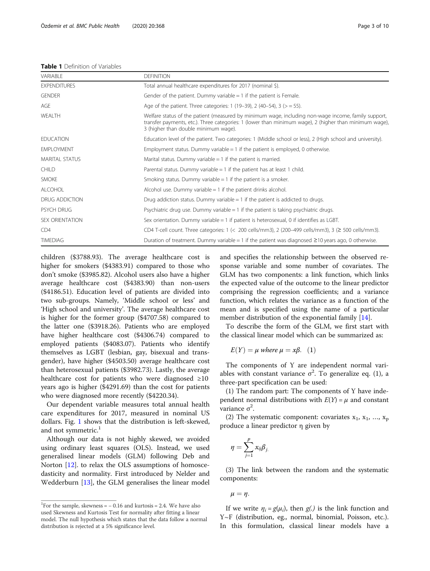#### <span id="page-2-0"></span>Table 1 Definition of Variables

| VARIABLE               | <b>DEFINITION</b>                                                                                                                                                                                                                                     |
|------------------------|-------------------------------------------------------------------------------------------------------------------------------------------------------------------------------------------------------------------------------------------------------|
| <b>EXPENDITURES</b>    | Total annual healthcare expenditures for 2017 (nominal \$).                                                                                                                                                                                           |
| <b>GENDER</b>          | Gender of the patient. Dummy variable $= 1$ if the patient is Female.                                                                                                                                                                                 |
| AGE                    | Age of the patient. Three categories: 1 (19-39), 2 (40-54), 3 ( $>$ = 55).                                                                                                                                                                            |
| WEALTH                 | Welfare status of the patient (measured by minimum wage, including non-wage income, family support,<br>transfer payments, etc.). Three categories: 1 (lower than minimum wage), 2 (higher than minimum wage),<br>3 (higher than double minimum wage). |
| <b>EDUCATION</b>       | Education level of the patient. Two categories: 1 (Middle school or less), 2 (High school and university).                                                                                                                                            |
| <b>EMPLOYMENT</b>      | Employment status. Dummy variable $= 1$ if the patient is employed, 0 otherwise.                                                                                                                                                                      |
| MARITAL STATUS         | Marital status. Dummy variable = 1 if the patient is married.                                                                                                                                                                                         |
| <b>CHILD</b>           | Parental status. Dummy variable = 1 if the patient has at least 1 child.                                                                                                                                                                              |
| <b>SMOKE</b>           | Smoking status. Dummy variable $= 1$ if the patient is a smoker.                                                                                                                                                                                      |
| <b>ALCOHOL</b>         | Alcohol use. Dummy variable $= 1$ if the patient drinks alcohol.                                                                                                                                                                                      |
| DRUG ADDICTION         | Drug addiction status. Dummy variable $= 1$ if the patient is addicted to drugs.                                                                                                                                                                      |
| PSYCH DRUG             | Psychiatric drug use. Dummy variable $= 1$ if the patient is taking psychiatric drugs.                                                                                                                                                                |
| <b>SEX ORIENTATION</b> | Sex orientation. Dummy variable $= 1$ if patient is heterosexual, 0 if identifies as LGBT.                                                                                                                                                            |
| CD4                    | CD4 T-cell count. Three categories: $1 \le 200$ cells/mm3), 2 (200–499 cells/mm3), 3 ( $\ge 500$ cells/mm3).                                                                                                                                          |
| <b>TIMEDIAG</b>        | Duration of treatment. Dummy variable = 1 if the patient was diagnosed $\geq$ 10 years ago, 0 otherwise.                                                                                                                                              |

children (\$3788.93). The average healthcare cost is higher for smokers (\$4383.91) compared to those who don't smoke (\$3985.82). Alcohol users also have a higher average healthcare cost (\$4383.90) than non-users (\$4186.51). Education level of patients are divided into two sub-groups. Namely, 'Middle school or less' and 'High school and university'. The average healthcare cost is higher for the former group (\$4707.58) compared to the latter one (\$3918.26). Patients who are employed have higher healthcare cost (\$4306.74) compared to employed patients (\$4083.07). Patients who identify themselves as LGBT (lesbian, gay, bisexual and transgender), have higher (\$4503.50) average healthcare cost than heterosexual patients (\$3982.73). Lastly, the average healthcare cost for patients who were diagnosed  $\geq 10$ years ago is higher (\$4291.69) than the cost for patients who were diagnosed more recently (\$4220.34).

Our dependent variable measures total annual health care expenditures for 2017, measured in nominal US dollars. Fig. [1](#page-4-0) shows that the distribution is left-skewed, and not symmetric.<sup>1</sup>

Although our data is not highly skewed, we avoided using ordinary least squares (OLS). Instead, we used generalised linear models (GLM) following Deb and Norton [\[12](#page-8-0)]. to relax the OLS assumptions of homoscedasticity and normality. First introduced by Nelder and Wedderburn [\[13](#page-8-0)], the GLM generalises the linear model and specifies the relationship between the observed response variable and some number of covariates. The GLM has two components: a link function, which links the expected value of the outcome to the linear predictor comprising the regression coefficients; and a variance function, which relates the variance as a function of the mean and is specified using the name of a particular member distribution of the exponential family [\[14](#page-8-0)].

To describe the form of the GLM, we first start with the classical linear model which can be summarized as:

$$
E(Y) = \mu \text{ where } \mu = x\beta. \quad (1)
$$

The components of Y are independent normal variables with constant variance  $\sigma^2$ . To generalize eq. (1), a three-part specification can be used:

(1) The random part: The components of Y have independent normal distributions with  $E(Y) = \mu$  and constant  $variance σ<sup>2</sup>$ .

(2) The systematic component: covariates  $x_1, x_1, ..., x_p$ produce a linear predictor η given by

$$
\eta = \sum_{j=1}^p x_{ij} \beta_{j.}
$$

(3) The link between the random and the systematic components:

 $\mu = \eta$ .

If we write  $\eta_i = g(\mu_i)$ , then  $g(.)$  is the link function and Y~F (distribution, eg., normal, binomial, Poisson, etc.). In this formulation, classical linear models have a

<sup>&</sup>lt;sup>1</sup>For the sample, skewness =  $-0.16$  and kurtosis = 2.4. We have also used Skewness and Kurtosis Test for normality after fitting a linear model. The null hypothesis which states that the data follow a normal distribution is rejected at a 5% significance level.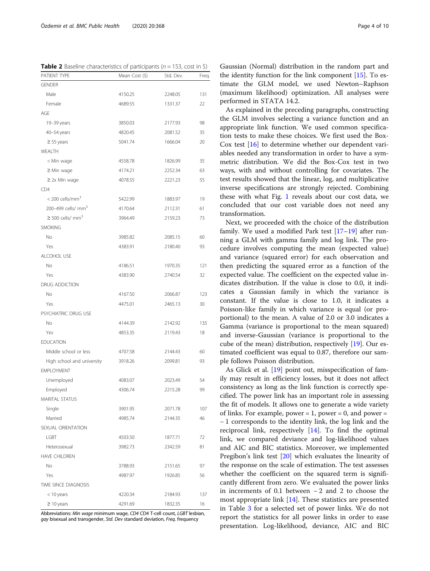Gaussian (Normal) distribution in the random part and the identity function for the link component [[15\]](#page-8-0). To estimate the GLM model, we used Newton–Raphson (maximum likelihood) optimization. All analyses were performed in STATA 14.2.

As explained in the preceding paragraphs, constructing the GLM involves selecting a variance function and an appropriate link function. We used common specification tests to make these choices. We first used the Box-Cox test [[16\]](#page-8-0) to determine whether our dependent variables needed any transformation in order to have a symmetric distribution. We did the Box-Cox test in two ways, with and without controlling for covariates. The test results showed that the linear, log, and multiplicative inverse specifications are strongly rejected. Combining these with what Fig. [1](#page-4-0) reveals about our cost data, we concluded that our cost variable does not need any transformation.

Next, we proceeded with the choice of the distribution family. We used a modified Park test [\[17](#page-8-0)–[19\]](#page-8-0) after running a GLM with gamma family and log link. The procedure involves computing the mean (expected value) and variance (squared error) for each observation and then predicting the squared error as a function of the expected value. The coefficient on the expected value indicates distribution. If the value is close to 0.0, it indicates a Gaussian family in which the variance is constant. If the value is close to 1.0, it indicates a Poisson-like family in which variance is equal (or proportional) to the mean. A value of 2.0 or 3.0 indicates a Gamma (variance is proportional to the mean squared) and inverse-Gaussian (variance is proportional to the cube of the mean) distribution, respectively [[19\]](#page-8-0). Our estimated coefficient was equal to 0.87, therefore our sample follows Poisson distribution.

As Glick et al. [[19\]](#page-8-0) point out, misspecification of family may result in efficiency losses, but it does not affect consistency as long as the link function is correctly specified. The power link has an important role in assessing the fit of models. It allows one to generate a wide variety of links. For example, power = 1, power = 0, and power = − 1 corresponds to the identity link, the log link and the reciprocal link, respectively [[14\]](#page-8-0). To find the optimal link, we compared deviance and log-likelihood values and AIC and BIC statistics. Moreover, we implemented Pregibon's link test [\[20](#page-8-0)] which evaluates the linearity of the response on the scale of estimation. The test assesses whether the coefficient on the squared term is significantly different from zero. We evaluated the power links in increments of 0.1 between − 2 and 2 to choose the most appropriate link [[14\]](#page-8-0). These statistics are presented in Table [3](#page-4-0) for a selected set of power links. We do not report the statistics for all power links in order to ease presentation. Log-likelihood, deviance, AIC and BIC

<span id="page-3-0"></span>**Table 2** Baseline characteristics of participants ( $n = 153$ , cost in \$)

| PATIENT TYPE                      | Mean Cost (\$) | Std. Dev. | Freq. |
|-----------------------------------|----------------|-----------|-------|
| <b>GENDER</b>                     |                |           |       |
| Male                              | 4150.25        | 2248.05   | 131   |
| Female                            | 4689.55        | 1331.37   | 22    |
| AGE                               |                |           |       |
| 19-39 years                       | 3850.03        | 2177.93   | 98    |
| 40-54 years                       | 4820.45        | 2081.52   | 35    |
| $\geq$ 55 years                   | 5041.74        | 1666.04   | 20    |
| WEALTH                            |                |           |       |
| < Min wage                        | 4558.78        | 1826.99   | 35    |
| $\geq$ Min wage                   | 4174.21        | 2252.34   | 63    |
| $\geq$ 2x Min wage                | 4078.55        | 2221.23   | 55    |
| CD4                               |                |           |       |
| $<$ 200 cells/mm <sup>3</sup>     | 5422.99        | 1883.97   | 19    |
| 200-499 cells/ mm <sup>3</sup>    | 4170.64        | 2112.31   | 61    |
| $\geq$ 500 cells/ mm <sup>3</sup> | 3964.49        | 2159.23   | 73    |
| <b>SMOKING</b>                    |                |           |       |
| No                                | 3985.82        | 2085.15   | 60    |
| Yes                               | 4383.91        | 2180.40   | 93    |
| ALCOHOL USE                       |                |           |       |
| No                                | 4186.51        | 1970.35   | 121   |
| Yes                               | 4383.90        | 2740.54   | 32    |
| <b>DRUG ADDICTION</b>             |                |           |       |
| No.                               | 4167.50        | 2066.87   | 123   |
| Yes                               | 4475.01        | 2465.13   | 30    |
| PSYCHIATRIC DRUG USE              |                |           |       |
| No                                | 4144.39        | 2142.92   | 135   |
| Yes                               | 4853.35        | 2119.43   | 18    |
| <b>EDUCATION</b>                  |                |           |       |
| Middle school or less             | 4707.58        | 2144.43   | 60    |
| High school and university        | 3918.26        | 2099.81   | 93    |
| <b>EMPLOYMENT</b>                 |                |           |       |
| Unemployed                        | 4083.07        | 2023.49   | 54    |
| Employed                          | 4306.74        | 2215.28   | 99    |
| MARITAL STATUS                    |                |           |       |
| Single                            | 3901.95        | 2071.78   | 107   |
| Married                           | 4985.74        | 2144.35   | 46    |
| SEXUAL ORIENTATION                |                |           |       |
| LGBT                              | 4503.50        | 1877.71   | 72    |
| Heterosexual                      | 3982.73        | 2342.59   | 81    |
| <b>HAVE CHILDREN</b>              |                |           |       |
| No                                | 3788.93        | 2151.65   | 97    |
| Yes                               | 4987.97        | 1926.85   | 56    |
| TIME SINCE DIAGNOSIS              |                |           |       |
| < 10 years                        | 4220.34        | 2184.93   | 137   |
| $\geq$ 10 years                   | 4291.69        | 1832.35   | 16    |
|                                   |                |           |       |

Abbreviations: Min wage minimum wage, CD4 CD4 T-cell count, LGBT lesbian, gay bisexual and transgender, Std. Dev standard deviation, Freq. frequency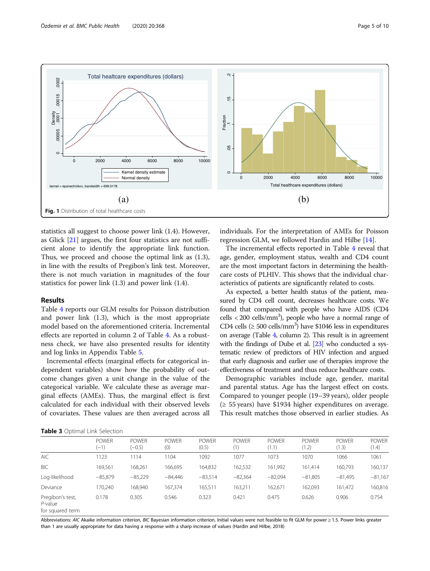<span id="page-4-0"></span>

statistics all suggest to choose power link (1.4). However, as Glick [\[21\]](#page-8-0) argues, the first four statistics are not sufficient alone to identify the appropriate link function. Thus, we proceed and choose the optimal link as (1.3), in line with the results of Pregibon's link test. Moreover, there is not much variation in magnitudes of the four statistics for power link (1.3) and power link (1.4).

#### Results

Table [4](#page-5-0) reports our GLM results for Poisson distribution and power link (1.3), which is the most appropriate model based on the aforementioned criteria. Incremental effects are reported in column 2 of Table [4](#page-5-0). As a robustness check, we have also presented results for identity and log links in Appendix Table [5.](#page-7-0)

Incremental effects (marginal effects for categorical independent variables) show how the probability of outcome changes given a unit change in the value of the categorical variable. We calculate these as average marginal effects (AMEs). Thus, the marginal effect is first calculated for each individual with their observed levels of covariates. These values are then averaged across all

individuals. For the interpretation of AMEs for Poisson regression GLM, we followed Hardin and Hilbe [[14\]](#page-8-0).

The incremental effects reported in Table [4](#page-5-0) reveal that age, gender, employment status, wealth and CD4 count are the most important factors in determining the healthcare costs of PLHIV. This shows that the individual characteristics of patients are significantly related to costs.

As expected, a better health status of the patient, measured by CD4 cell count, decreases healthcare costs. We found that compared with people who have AIDS (CD4 cells < 200 cells/mm<sup>3</sup>), people who have a normal range of CD4 cells ( $\geq 500$  cells/mm<sup>3</sup>) have \$1046 less in expenditures on average (Table [4,](#page-5-0) column 2). This result is in agreement with the findings of Dube et al. [\[23](#page-8-0)] who conducted a systematic review of predictors of HIV infection and argued that early diagnosis and earlier use of therapies improve the effectiveness of treatment and thus reduce healthcare costs.

Demographic variables include age, gender, marital and parental status. Age has the largest effect on costs. Compared to younger people (19–39 years), older people  $($  ≥ 55 years) have \$1934 higher expenditures on average. This result matches those observed in earlier studies. As

Table 3 Optimal Link Selection

| <b>TUDIE 3</b> Optimal Eins Scieduoli           |                        |                          |                     |                       |                     |                       |                       |                       |                       |
|-------------------------------------------------|------------------------|--------------------------|---------------------|-----------------------|---------------------|-----------------------|-----------------------|-----------------------|-----------------------|
|                                                 | <b>POWER</b><br>$(-1)$ | <b>POWER</b><br>$(-0.5)$ | <b>POWER</b><br>(0) | <b>POWER</b><br>(0.5) | <b>POWER</b><br>(1) | <b>POWER</b><br>(1.1) | <b>POWER</b><br>(1.2) | <b>POWER</b><br>(1.3) | <b>POWER</b><br>(1.4) |
| <b>AIC</b>                                      | 1123                   | 114                      | 1104                | 1092                  | 1077                | 1073                  | 1070                  | 1066                  | 1061                  |
| <b>BIC</b>                                      | 169.561                | 168,261                  | 166,695             | 164,832               | 162,532             | 161,992               | 161.414               | 160.793               | 160,137               |
| Log-likelihood                                  | $-85,879$              | $-85,229$                | $-84,446$           | $-83,514$             | $-82,364$           | $-82,094$             | $-81,805$             | $-81,495$             | $-81,167$             |
| Deviance                                        | 70.240                 | 168,940                  | 167.374             | 165,511               | 163,211             | 162,671               | 162,093               | 161,472               | 160,816               |
| Pregibon's test,<br>P-value<br>for squared term | 0.178                  | 0.305                    | 0.546               | 0.323                 | 0.421               | 0.475                 | 0.626                 | 0.906                 | 0.754                 |

Abbreviations: AIC Akaike information criterion, BIC Bayesian information criterion. Initial values were not feasible to fit GLM for power ≥ 1.5. Power links greater than 1 are usually appropriate for data having a response with a sharp increase of values (Hardin and Hilbe, 2018)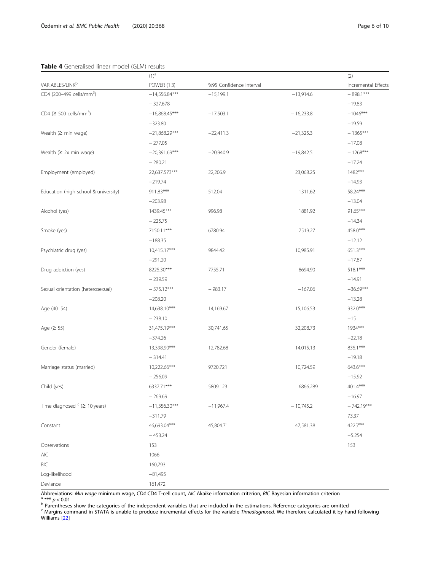# <span id="page-5-0"></span>Table 4 Generalised linear model (GLM) results

|                                        | $(1)^{a}$       |                         |             | (2)                 |
|----------------------------------------|-----------------|-------------------------|-------------|---------------------|
| VARIABLES/LINK <sup>b</sup>            | POWER (1.3)     | %95 Confidence Interval |             | Incremental Effects |
| CD4 (200-499 cells/mm <sup>3</sup> )   | $-14,556.84***$ | $-15,199.1$             | $-13,914.6$ | $-898.1***$         |
|                                        | $-327.678$      |                         |             | $-19.83$            |
| $CD4 \geq 500$ cells/mm <sup>3</sup> ) | $-16,868.45***$ | $-17,503.1$             | $-16,233.8$ | $-1046***$          |
|                                        | $-323.80$       |                         |             | $-19.59$            |
| Wealth $(2 \text{ min wage})$          | $-21,868.29***$ | $-22,411.3$             | $-21,325.3$ | $-1365***$          |
|                                        | $-277.05$       |                         |             | $-17.08$            |
| Wealth $(2 2x \text{ min wage})$       | $-20,391.69***$ | $-20,940.9$             | $-19,842.5$ | $-1268***$          |
|                                        | $-280.21$       |                         |             | $-17.24$            |
| Employment (employed)                  | 22,637.573***   | 22,206.9                | 23,068.25   | $1482***$           |
|                                        | $-219.74$       |                         |             | $-14.93$            |
| Education (high school & university)   | 911.83***       | 512.04                  | 1311.62     | 58.24***            |
|                                        | $-203.98$       |                         |             | $-13.04$            |
| Alcohol (yes)                          | 1439.45***      | 996.98                  | 1881.92     | 91.65***            |
|                                        | $-225.75$       |                         |             | $-14.34$            |
| Smoke (yes)                            | 7150.11***      | 6780.94                 | 7519.27     | $458.0***$          |
|                                        | $-188.35$       |                         |             | $-12.12$            |
| Psychiatric drug (yes)                 | 10,415.17***    | 9844.42                 | 10,985.91   | 651.3***            |
|                                        | $-291.20$       |                         |             | $-17.87$            |
| Drug addiction (yes)                   | 8225.30***      | 7755.71                 | 8694.90     | 518.1***            |
|                                        | $-239.59$       |                         |             | $-14.91$            |
| Sexual orientation (heterosexual)      | $-575.12***$    | $-983.17$               | $-167.06$   | $-36.69***$         |
|                                        | $-208.20$       |                         |             | $-13.28$            |
| Age (40-54)                            | 14,638.10***    | 14,169.67               | 15,106.53   | 932.0***            |
|                                        | $-238.10$       |                         |             | $-15$               |
| Age $(2 55)$                           | 31,475.19***    | 30,741.65               | 32,208.73   | 1934***             |
|                                        | $-374.26$       |                         |             | $-22.18$            |
| Gender (female)                        | 13,398.90***    | 12,782.68               | 14,015.13   | 835.1***            |
|                                        | $-314.41$       |                         |             | $-19.18$            |
| Marriage status (married)              | 10,222.66***    | 9720.721                | 10,724.59   | 643.6***            |
|                                        | $-256.09$       |                         |             | $-15.92$            |
| Child (yes)                            | 6337.71***      | 5809.123                | 6866.289    | 401.4***            |
|                                        | $-269.69$       |                         |             | $-16.97$            |
| Time diagnosed $c \geq 10$ years)      | $-11,356.30***$ | $-11,967.4$             | $-10,745.2$ | $-742.19***$        |
|                                        | $-311.79$       |                         |             | 73.37               |
| Constant                               | 46,693.04***    | 45,804.71               | 47,581.38   | 4225***             |
|                                        | $-453.24$       |                         |             | $-5.254$            |
| Observations                           | 153             |                         |             | 153                 |
| AIC                                    | 1066            |                         |             |                     |
| BIC                                    | 160,793         |                         |             |                     |
| Log-likelihood                         | $-81,495$       |                         |             |                     |
| Deviance                               | 161,472         |                         |             |                     |

Abbreviations: *Min wage* minimum wage, *CD4* CD4 T-cell count, *AIC* Akaike information criterion, *BIC* Bayesian information criterion<br>  $\frac{a^{***}}{b}$   $p < 0.01$ <br>  $\frac{b}{c}$  Parentheses show the categories of the independen Williams [\[22\]](#page-8-0)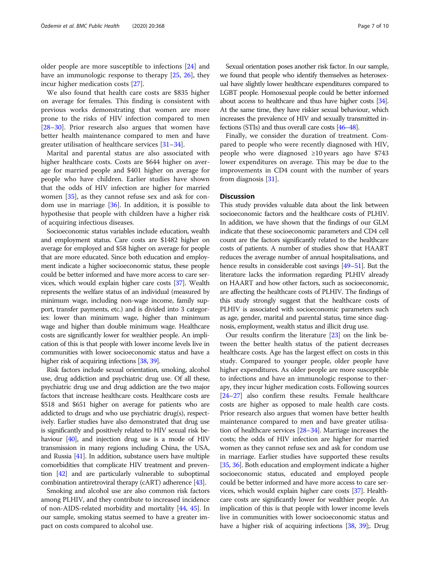older people are more susceptible to infections [[24\]](#page-8-0) and have an immunologic response to therapy [[25,](#page-8-0) [26](#page-8-0)], they incur higher medication costs [[27](#page-8-0)].

We also found that health care costs are \$835 higher on average for females. This finding is consistent with previous works demonstrating that women are more prone to the risks of HIV infection compared to men [[28](#page-8-0)–[30](#page-8-0)]. Prior research also argues that women have better health maintenance compared to men and have greater utilisation of healthcare services [\[31](#page-8-0)–[34\]](#page-8-0).

Marital and parental status are also associated with higher healthcare costs. Costs are \$644 higher on average for married people and \$401 higher on average for people who have children. Earlier studies have shown that the odds of HIV infection are higher for married women [\[35](#page-8-0)], as they cannot refuse sex and ask for condom use in marriage  $[36]$  $[36]$ . In addition, it is possible to hypothesise that people with children have a higher risk of acquiring infectious diseases.

Socioeconomic status variables include education, wealth and employment status. Care costs are \$1482 higher on average for employed and \$58 higher on average for people that are more educated. Since both education and employment indicate a higher socioeconomic status, these people could be better informed and have more access to care services, which would explain higher care costs [\[37\]](#page-9-0). Wealth represents the welfare status of an individual (measured by minimum wage, including non-wage income, family support, transfer payments, etc.) and is divided into 3 categories: lower than minimum wage, higher than minimum wage and higher than double minimum wage. Healthcare costs are significantly lower for wealthier people. An implication of this is that people with lower income levels live in communities with lower socioeconomic status and have a higher risk of acquiring infections [[38](#page-9-0), [39](#page-9-0)].

Risk factors include sexual orientation, smoking, alcohol use, drug addiction and psychiatric drug use. Of all these, psychiatric drug use and drug addiction are the two major factors that increase healthcare costs. Healthcare costs are \$518 and \$651 higher on average for patients who are addicted to drugs and who use psychiatric drug(s), respectively. Earlier studies have also demonstrated that drug use is significantly and positively related to HIV sexual risk be-haviour [\[40\]](#page-9-0), and injection drug use is a mode of HIV transmission in many regions including China, the USA, and Russia [\[41\]](#page-9-0). In addition, substance users have multiple comorbidities that complicate HIV treatment and prevention [\[42](#page-9-0)] and are particularly vulnerable to suboptimal combination antiretroviral therapy (cART) adherence [\[43\]](#page-9-0).

Smoking and alcohol use are also common risk factors among PLHIV, and they contribute to increased incidence of non-AIDS-related morbidity and mortality [\[44,](#page-9-0) [45](#page-9-0)]. In our sample, smoking status seemed to have a greater impact on costs compared to alcohol use.

Sexual orientation poses another risk factor. In our sample, we found that people who identify themselves as heterosexual have slightly lower healthcare expenditures compared to LGBT people. Homosexual people could be better informed about access to healthcare and thus have higher costs [\[34\]](#page-8-0). At the same time, they have riskier sexual behaviour, which increases the prevalence of HIV and sexually transmitted infections (STIs) and thus overall care costs [\[46](#page-9-0)–[48](#page-9-0)].

Finally, we consider the duration of treatment. Compared to people who were recently diagnosed with HIV, people who were diagnosed ≥10 years ago have \$743 lower expenditures on average. This may be due to the improvements in CD4 count with the number of years from diagnosis [\[31\]](#page-8-0).

### **Discussion**

This study provides valuable data about the link between socioeconomic factors and the healthcare costs of PLHIV. In addition, we have shown that the findings of our GLM indicate that these socioeconomic parameters and CD4 cell count are the factors significantly related to the healthcare costs of patients. A number of studies show that HAART reduces the average number of annual hospitalisations, and hence results in considerable cost savings [\[49](#page-9-0)–[51\]](#page-9-0). But the literature lacks the information regarding PLHIV already on HAART and how other factors, such as socioeconomic, are affecting the healthcare costs of PLHIV. The findings of this study strongly suggest that the healthcare costs of PLHIV is associated with socioeconomic parameters such as age, gender, marital and parental status, time since diagnosis, employment, wealth status and illicit drug use.

Our results confirm the literature [[23\]](#page-8-0) on the link between the better health status of the patient decreases healthcare costs. Age has the largest effect on costs in this study. Compared to younger people, older people have higher expenditures. As older people are more susceptible to infections and have an immunologic response to therapy, they incur higher medication costs. Following sources [[24](#page-8-0)–[27\]](#page-8-0) also confirm these results. Female healthcare costs are higher as opposed to male health care costs. Prior research also argues that women have better health maintenance compared to men and have greater utilisation of healthcare services [[28](#page-8-0)–[34\]](#page-8-0). Marriage increases the costs; the odds of HIV infection are higher for married women as they cannot refuse sex and ask for condom use in marriage. Earlier studies have supported these results [[35](#page-8-0), [36\]](#page-9-0). Both education and employment indicate a higher socioeconomic status, educated and employed people could be better informed and have more access to care services, which would explain higher care costs [\[37\]](#page-9-0). Healthcare costs are significantly lower for wealthier people. An implication of this is that people with lower income levels live in communities with lower socioeconomic status and have a higher risk of acquiring infections [[38](#page-9-0), [39\]](#page-9-0);. Drug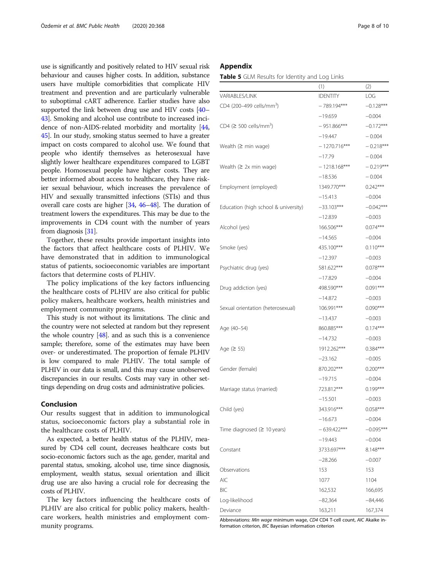<span id="page-7-0"></span>use is significantly and positively related to HIV sexual risk behaviour and causes higher costs. In addition, substance users have multiple comorbidities that complicate HIV treatment and prevention and are particularly vulnerable to suboptimal cART adherence. Earlier studies have also supported the link between drug use and HIV costs [\[40](#page-9-0)– [43](#page-9-0)]. Smoking and alcohol use contribute to increased incidence of non-AIDS-related morbidity and mortality [[44](#page-9-0), [45](#page-9-0)]. In our study, smoking status seemed to have a greater impact on costs compared to alcohol use. We found that people who identify themselves as heterosexual have slightly lower healthcare expenditures compared to LGBT people. Homosexual people have higher costs. They are better informed about access to healthcare, they have riskier sexual behaviour, which increases the prevalence of HIV and sexually transmitted infections (STIs) and thus overall care costs are higher [\[34,](#page-8-0) [46](#page-9-0)–[48](#page-9-0)]. The duration of treatment lowers the expenditures. This may be due to the improvements in CD4 count with the number of years from diagnosis [\[31\]](#page-8-0).

Together, these results provide important insights into the factors that affect healthcare costs of PLHIV. We have demonstrated that in addition to immunological status of patients, socioeconomic variables are important factors that determine costs of PLHIV.

The policy implications of the key factors influencing the healthcare costs of PLHIV are also critical for public policy makers, healthcare workers, health ministries and employment community programs.

This study is not without its limitations. The clinic and the country were not selected at random but they represent the whole country  $[48]$  $[48]$  $[48]$ . and as such this is a convenience sample; therefore, some of the estimates may have been over- or underestimated. The proportion of female PLHIV is low compared to male PLHIV. The total sample of PLHIV in our data is small, and this may cause unobserved discrepancies in our results. Costs may vary in other settings depending on drug costs and administrative policies.

## Conclusion

Our results suggest that in addition to immunological status, socioeconomic factors play a substantial role in the healthcare costs of PLHIV.

As expected, a better health status of the PLHIV, measured by CD4 cell count, decreases healthcare costs but socio-economic factors such as the age, gender, marital and parental status, smoking, alcohol use, time since diagnosis, employment, wealth status, sexual orientation and illicit drug use are also having a crucial role for decreasing the costs of PLHIV.

The key factors influencing the healthcare costs of PLHIV are also critical for public policy makers, healthcare workers, health ministries and employment community programs.

# Appendix

Table 5 GLM Results for Identity and Log Links

|                                            | (1)             | (2)         |
|--------------------------------------------|-----------------|-------------|
| VARIABLES/LINK                             | <b>IDENTITY</b> | LOG         |
| CD4 (200-499 cells/mm <sup>3</sup> )       | $-789.194***$   | $-0.128***$ |
|                                            | $-19.659$       | $-0.004$    |
| $CD4$ ( $\geq$ 500 cells/mm <sup>3</sup> ) | $-951.866***$   | $-0.172***$ |
|                                            | $-19.447$       | $-0.004$    |
| Wealth $($ min wage)                       | $-1270.716***$  | $-0.218***$ |
|                                            | $-17.79$        | $-0.004$    |
| Wealth $(2 \times min wave)$               | $-1218.168***$  | $-0.219***$ |
|                                            | $-18.536$       | $-0.004$    |
| Employment (employed)                      | 1349.770***     | $0.242***$  |
|                                            | $-15.413$       | $-0.004$    |
| Education (high school & university)       | $-33.103***$    | $-0.042***$ |
|                                            | $-12.839$       | $-0.003$    |
| Alcohol (yes)                              | 166.506***      | $0.074***$  |
|                                            | $-14.565$       | $-0.004$    |
| Smoke (yes)                                | 435.100***      | $0.110***$  |
|                                            | $-12.397$       | $-0.003$    |
| Psychiatric drug (yes)                     | 581.622***      | $0.078***$  |
|                                            | $-17.829$       | $-0.004$    |
| Drug addiction (yes)                       | 498.590***      | $0.091***$  |
|                                            | $-14.872$       | $-0.003$    |
| Sexual orientation (heterosexual)          | 106.991***      | $0.090***$  |
|                                            | $-13.437$       | $-0.003$    |
| Age (40-54)                                | 860.885***      | $0.174***$  |
|                                            | $-14.732$       | $-0.003$    |
| Age $(≥ 55)$                               | 1912.262***     | $0.384***$  |
|                                            | $-23.162$       | $-0.005$    |
| Gender (female)                            | 870.202***      | $0.200***$  |
|                                            | $-19.715$       | $-0.004$    |
| Marriage status (married)                  | 723.812***      | $0.199***$  |
|                                            | $-15.501$       | $-0.003$    |
| Child (yes)                                | 343.916***      | $0.058***$  |
|                                            | $-16.673$       | $-0.004$    |
| Time diagnosed $(≥ 10 years)$              | $-639.422***$   | $-0.095***$ |
|                                            | $-19.443$       | $-0.004$    |
| Constant                                   | 3733.697***     | 8.148***    |
|                                            | $-28.266$       | $-0.007$    |
| Observations                               | 153             | 153         |
| AIC                                        | 1077            | 1104        |
| <b>BIC</b>                                 | 162,532         | 166,695     |
| Log-likelihood                             | $-82,364$       | -84,446     |
| Deviance                                   | 163,211         | 167,374     |

Abbreviations: Min wage minimum wage, CD4 CD4 T-cell count, AIC Akaike information criterion, BIC Bayesian information criterion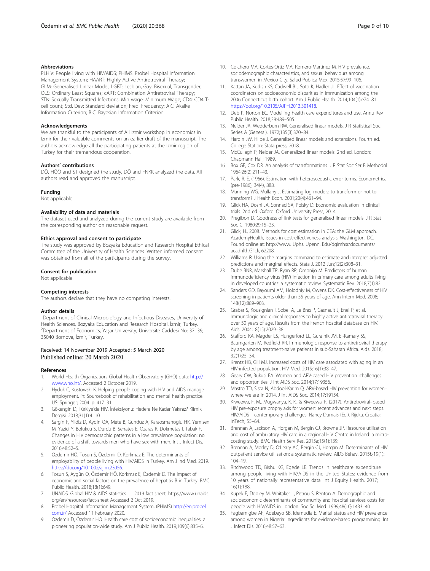#### <span id="page-8-0"></span>Abbreviations

PLHIV: People living with HIV/AIDS; PHIMS: Probel Hospital Information Management System; HAART: Highly Active Antiretroviral Therapy; GLM: Generalised Linear Model; LGBT: Lesbian, Gay, Bisexual, Transgender; OLS: Ordinary Least Squares; cART: Combination Antiretroviral Therapy; STIs: Sexually Transmitted Infections; Min wage: Minimum Wage; CD4: CD4 Tcell count; Std. Dev: Standard deviation; Freq: Frequency; AIC: Akaike Information Criterion; BIC: Bayesian Information Criterion

#### Acknowledgements

We are thankful to the participants of All izmir workshop in economics in Izmir for their valuable comments on an earlier draft of the manuscript. The authors acknowledge all the participating patients at the Izmir region of Turkey for their tremendous cooperation.

#### Authors' contributions

DÖ, HÖÖ and ST designed the study, DÖ and FNKK analyzed the data. All authors read and approved the manuscript.

#### Funding

Not applicable.

#### Availability of data and materials

The dataset used and analyzed during the current study are available from the corresponding author on reasonable request.

# Ethics approval and consent to participate

The study was approved by Bozyaka Education and Research Hospital Ethical Committee of the University of Health Sciences. Written informed consent was obtained from all of the participants during the survey.

#### Consent for publication

Not applicable.

#### Competing interests

The authors declare that they have no competing interests.

#### Author details

<sup>1</sup>Department of Clinical Microbiology and Infectious Diseases, University of Health Sciences, Bozyaka Education and Research Hospital, <sup>İ</sup>zmir, Turkey. <sup>2</sup> Department of Economics, Yaşar University, Üniversite Caddesi No: 37–39, 35040 Bornova, İzmir, Turkey.

#### Received: 14 November 2019 Accepted: 5 March 2020 Published online: 20 March 2020

#### References

- 1. World Health Organization, Global Health Observatory (GHO) data; [http://](http://www.who.int/) [www.who.int/.](http://www.who.int/) Accessed 2 October 2019.
- 2. Hyduk C, Kustowski K. Helping people coping with HIV and AIDS manage employment. In: Sourcebook of rehabilitation and mental health practice. US: Springer; 2004. p. 417–31.
- 3. Gökengin D, Türkiye'de HIV. İnfeksiyonu: Hedefe Ne Kadar Yakınız? Klimik Dergisi. 2018;31(1):4–10.
- Sargin F, Yildiz D, Aydin OA, Mete B, Gunduz A, Karaosmanoglu HK, Yemisen M, Yazici Y, Bolukcu S, Durdu B, Senates E, Ozaras R, Dokmetas I, Tabak F. Changes in HIV demographic patterns in a low prevalence population: no evidence of a shift towards men who have sex with men. Int J Infect Dis. 2016;48:52–5.
- Özdemir HÖ, Tosun S, Özdemir D, Korkmaz E. The determinants of employability of people living with HIV/AIDS in Turkey. Am J Ind Med. 2019. <https://doi.org/10.1002/ajim.23056>.
- 6. Tosun S, Aygün O, Özdemir HÖ, Korkmaz E, Özdemir D. The impact of economic and social factors on the prevalence of hepatitis B in Turkey. BMC Public Health. 2018;18(1):649.
- 7. UNAIDS. Global HIV & AIDS statistics 2019 fact sheet. https://www.unaids. org/en/resources/fact-sheet Accessed 2 Oct 2019.
- 8. Probel Hospital Information Management System, (PHIMS) [http://en.probel.](http://en.probel.com.tr/) [com.tr/](http://en.probel.com.tr/) Accessed 11 February 2020.
- Özdemir D, Özdemir HÖ. Health care cost of socioeconomic inequalities: a pioneering population-wide study. Am J Public Health. 2019;109(6):835–6.
- 10. Colchero MA, Cortés-Ortiz MA, Romero-Martínez M. HIV prevalence, sociodemographic characteristics, and sexual behaviours among transwomen in Mexico City. Salud Publica Mex. 2015;57:99–106.
- 11. Kattan JA, Kudish KS, Cadwell BL, Soto K, Hadler JL. Effect of vaccination coordinators on socioeconomic disparities in immunization among the 2006 Connecticut birth cohort. Am J Public Health. 2014;104(1):e74–81. <https://doi.org/10.2105/AJPH.2013.301418>.
- 12. Deb P, Norton EC. Modelling health care expenditures and use. Annu Rev Public Health. 2018;39:489–505.
- 13. Nelder JA, Wedderburn RW. Generalised linear models. J R Statistical Soc Series A (General). 1972;135(3):370–84.
- 14. Hardin JW, Hilbe J. Generalised linear models and extensions. Fourth ed. College Station: Stata press; 2018.
- 15. McCullagh P, Nelder JA. Generalized linear models. 2nd ed. London: Chapmann Hall; 1989.
- 16. Box GE, Cox DR. An analysis of transformations. J R Stat Soc Ser B Methodol. 1964;26(2):211–43.
- 17. Park, R. E. (1966). Estimation with heteroscedastic error terms. Econometrica (pre-1986), 34(4), 888.
- 18. Manning WG, Mullahy J. Estimating log models: to transform or not to transform? J Health Econ. 2001;20(4):461–94.
- 19. Glick HA, Doshi JA, Sonnad SA, Polsky D. Economic evaluation in clinical trials. 2nd ed. Oxford: Oxford University Press; 2014.
- 20. Pregibon D. Goodness of link tests for generalised linear models. J R Stat Soc C. 1980;29:15–23.
- 21. Glick, H., 2008. Methods for cost estimation in CEA: the GLM approach. AcademyHealth, issues in cost-effectiveness analysis. Washington, DC. Found online at: http://www. Uphs. Upenn. Edu/dgimhsr/documents/ acadhlth.Glick, 62208.
- 22. Williams R. Using the margins command to estimate and interpret adjusted predictions and marginal effects. Stata J. 2012 Jun;12(2):308–31.
- 23. Dube BNR, Marshall TP, Ryan RP, Omonijo M. Predictors of human immunodeficiency virus (HIV) infection in primary care among adults living in developed countries: a systematic review. Systematic Rev. 2018;7(1):82.
- 24. Sanders GD, Bayoumi AM, Holodniy M, Owens DK. Cost-effectiveness of HIV screening in patients older than 55 years of age. Ann Intern Med. 2008; 148(12):889–903.
- 25. Grabar S, Kousignian I, Sobel A, Le Bras P, Gasnault J, Enel P, et al. Immunologic and clinical responses to highly active antiretroviral therapy over 50 years of age. Results from the French hospital database on HIV. Aids. 2004;18(15):2029–38.
- 26. Stafford KA, Magder LS, Hungerford LL, Guralnik JM, El-Kamary SS, Baumgarten M, Redfield RR. Immunologic response to antiretroviral therapy by age among treatment-naive patients in sub-Saharan Africa. Aids. 2018; 32(1):25–34.
- 27. Krentz HB, Gill MJ. Increased costs of HIV care associated with aging in an HIV-infected population. HIV Med. 2015;16(1):38–47.
- 28. Geary CW, Bukusi EA. Women and ARV-based HIV prevention–challenges and opportunities. J Int AIDS Soc. 2014;17:19356.
- 29. Mastro TD, Sista N, Abdool-Karim Q. ARV-based HIV prevention for women– where we are in 2014. J Int AIDS Soc. 2014;17:19154.
- 30. Kiweewa, F. M., Mugwanya, K. K., & Kiweewa, F. (2017). Antiretroviral–based HIV pre-exposure prophylaxis for women: recent advances and next steps. HIV/AIDS—contemporary challenges. Nancy Dumais (Ed.), Rijeka, Croatia: InTech, 55–64.
- 31. Brennan A, Jackson A, Horgan M, Bergin CJ, Browne JP. Resource utilisation and cost of ambulatory HIV care in a regional HIV Centre in Ireland: a microcosting study. BMC Health Serv Res. 2015a;15(1):139.
- 32. Brennan A, Morley D, O'Leary AC, Bergin CJ, Horgan M. Determinants of HIV outpatient service utilisation: a systematic review. AIDS Behav. 2015b;19(1): 104–19.
- 33. Ritchwood TD, Bishu KG, Egede LE. Trends in healthcare expenditure among people living with HIV/AIDS in the United States: evidence from 10 years of nationally representative data. Int J Equity Health. 2017; 16(1):188.
- 34. Kupek E, Dooley M, Whitaker L, Petrou S, Renton A. Demographic and socioeconomic determinants of community and hospital services costs for people with HIV/AIDS in London. Soc Sci Med. 1999;48(10):1433–40.
- 35. Fagbamigbe AF, Adebayo SB, Idemudia E. Marital status and HIV prevalence among women in Nigeria: ingredients for evidence-based programming. Int J Infect Dis. 2016;48:57–63.